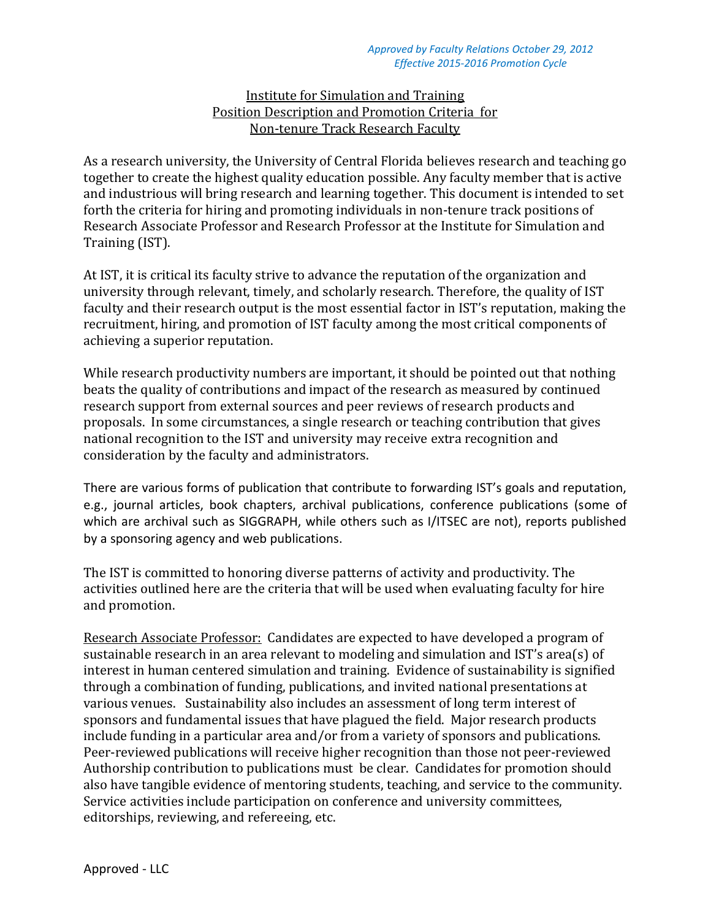## Institute for Simulation and Training Position Description and Promotion Criteria for Non-tenure Track Research Faculty

As a research university, the University of Central Florida believes research and teaching go together to create the highest quality education possible. Any faculty member that is active and industrious will bring research and learning together. This document is intended to set forth the criteria for hiring and promoting individuals in non-tenure track positions of Research Associate Professor and Research Professor at the Institute for Simulation and Training (IST).

At IST, it is critical its faculty strive to advance the reputation of the organization and university through relevant, timely, and scholarly research. Therefore, the quality of IST faculty and their research output is the most essential factor in IST's reputation, making the recruitment, hiring, and promotion of IST faculty among the most critical components of achieving a superior reputation.

While research productivity numbers are important, it should be pointed out that nothing beats the quality of contributions and impact of the research as measured by continued research support from external sources and peer reviews of research products and proposals. In some circumstances, a single research or teaching contribution that gives national recognition to the IST and university may receive extra recognition and consideration by the faculty and administrators.

There are various forms of publication that contribute to forwarding IST's goals and reputation, e.g., journal articles, book chapters, archival publications, conference publications (some of which are archival such as SIGGRAPH, while others such as I/ITSEC are not), reports published by a sponsoring agency and web publications.

The IST is committed to honoring diverse patterns of activity and productivity. The activities outlined here are the criteria that will be used when evaluating faculty for hire and promotion.

Research Associate Professor: Candidates are expected to have developed a program of sustainable research in an area relevant to modeling and simulation and IST's area(s) of interest in human centered simulation and training. Evidence of sustainability is signified through a combination of funding, publications, and invited national presentations at various venues. Sustainability also includes an assessment of long term interest of sponsors and fundamental issues that have plagued the field. Major research products include funding in a particular area and/or from a variety of sponsors and publications. Peer-reviewed publications will receive higher recognition than those not peer-reviewed Authorship contribution to publications must be clear. Candidates for promotion should also have tangible evidence of mentoring students, teaching, and service to the community. Service activities include participation on conference and university committees, editorships, reviewing, and refereeing, etc.